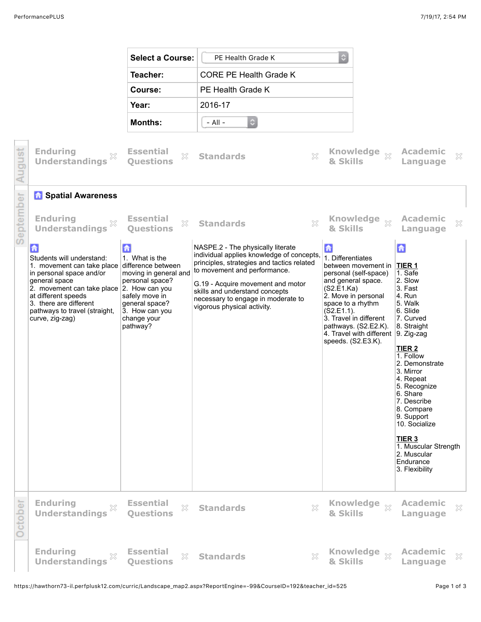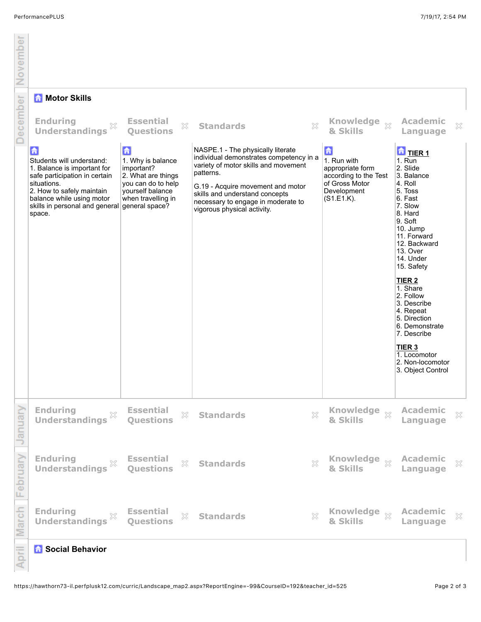November

|                 | <b>Motor Skills</b><br>Ħ                                                                                                                                                                                                            |                                                                                                                                       |                                                                                                                                                                                                                                                                               |                                                                                                              |                                                                                                                                                                                                                                                                                                                                                                                                                              |  |  |  |
|-----------------|-------------------------------------------------------------------------------------------------------------------------------------------------------------------------------------------------------------------------------------|---------------------------------------------------------------------------------------------------------------------------------------|-------------------------------------------------------------------------------------------------------------------------------------------------------------------------------------------------------------------------------------------------------------------------------|--------------------------------------------------------------------------------------------------------------|------------------------------------------------------------------------------------------------------------------------------------------------------------------------------------------------------------------------------------------------------------------------------------------------------------------------------------------------------------------------------------------------------------------------------|--|--|--|
| <b>December</b> | <b>Enduring</b><br>$\mathbb{X}$<br><b>Understandings</b>                                                                                                                                                                            | <b>Essential</b><br>X<br><b>Ouestions</b>                                                                                             | 53<br><b>Standards</b>                                                                                                                                                                                                                                                        | Knowledge xx<br>& Skills                                                                                     | <b>Academic</b><br>$\mathbb{X}$<br>Language                                                                                                                                                                                                                                                                                                                                                                                  |  |  |  |
|                 | 「击<br>Students will understand:<br>1. Balance is important for<br>safe participation in certain<br>situations.<br>2. How to safely maintain<br>balance while using motor<br>skills in personal and general general space?<br>space. | $\mathbf{G}$<br>1. Why is balance<br>important?<br>2. What are things<br>you can do to help<br>vourself balance<br>when travelling in | NASPE.1 - The physically literate<br>individual demonstrates competency in a<br>variety of motor skills and movement<br>patterns.<br>G.19 - Acquire movement and motor<br>skills and understand concepts<br>necessary to engage in moderate to<br>vigorous physical activity. | 孟<br>1. Run with<br>appropriate form<br>according to the Test<br>of Gross Motor<br>Development<br>(S1.E1.K). | $\frac{1}{\sqrt{2}}$ TIER 1<br>1. Run<br>2. Slide<br>3. Balance<br>4. Roll<br>5. Toss<br>6. Fast<br>7. Slow<br>8. Hard<br>9. Soft<br>10. Jump<br>11. Forward<br>12. Backward<br>13. Over<br>14. Under<br>15. Safety<br>TIER <sub>2</sub><br>1. Share<br>2. Follow<br>3. Describe<br>4. Repeat<br>5. Direction<br>6. Demonstrate<br>7. Describe<br>TIER <sub>3</sub><br>1. Locomotor<br>2. Non-locomotor<br>3. Object Control |  |  |  |
| January         | <b>Enduring</b><br><b>Understandings</b>                                                                                                                                                                                            | <b>Essential</b><br>×<br><b>Ouestions</b>                                                                                             | $\gtrsim$<br><b>Standards</b>                                                                                                                                                                                                                                                 | Knowledge xx<br>& Skills                                                                                     | <b>Academic</b><br>×<br>Language                                                                                                                                                                                                                                                                                                                                                                                             |  |  |  |
| February        | <b>Enduring</b><br>$\gtrsim$<br><b>Understandings</b>                                                                                                                                                                               | <b>Essential</b><br>X<br><b>Ouestions</b>                                                                                             | $\chi$<br><b>Standards</b>                                                                                                                                                                                                                                                    | Knowledge $\frac{1}{2}$<br>& Skills                                                                          | Academic<br>$\gtrsim$<br>Language                                                                                                                                                                                                                                                                                                                                                                                            |  |  |  |
| March           | <b>Enduring</b><br>$\mathbb{S}^\mathcal{C}_\sim$<br><b>Understandings</b>                                                                                                                                                           | <b>Essential</b><br>X<br><b>Questions</b>                                                                                             | X<br><b>Standards</b>                                                                                                                                                                                                                                                         | Knowledge xx<br>& Skills                                                                                     | Academic<br>$\mathbb{X}$<br>Language                                                                                                                                                                                                                                                                                                                                                                                         |  |  |  |
| April           | <b>R</b> Social Behavior                                                                                                                                                                                                            |                                                                                                                                       |                                                                                                                                                                                                                                                                               |                                                                                                              |                                                                                                                                                                                                                                                                                                                                                                                                                              |  |  |  |

## *b* Social Behavior